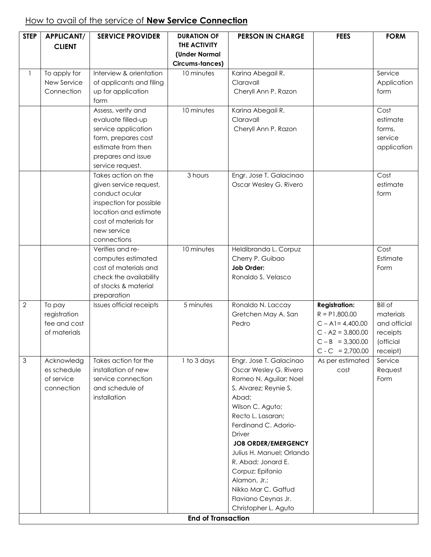## How to avail of the service of **New Service Connection**

| <b>STEP</b>    | <b>APPLICANT/</b><br><b>CLIENT</b>                     | <b>SERVICE PROVIDER</b>                                                                                                                                                    | <b>DURATION OF</b><br><b>THE ACTIVITY</b><br>(Under Normal<br>Circums-tances) | <b>PERSON IN CHARGE</b>                                                                                                                                                                                                                                                                                                                                            | <b>FEES</b>                                                                                                                       | <b>FORM</b>                                                                      |
|----------------|--------------------------------------------------------|----------------------------------------------------------------------------------------------------------------------------------------------------------------------------|-------------------------------------------------------------------------------|--------------------------------------------------------------------------------------------------------------------------------------------------------------------------------------------------------------------------------------------------------------------------------------------------------------------------------------------------------------------|-----------------------------------------------------------------------------------------------------------------------------------|----------------------------------------------------------------------------------|
|                | To apply for<br>New Service<br>Connection              | Interview & orientation<br>of applicants and filing<br>up for application<br>form                                                                                          | 10 minutes                                                                    | Karina Abegail R.<br>Claravall<br>Cheryll Ann P. Razon                                                                                                                                                                                                                                                                                                             |                                                                                                                                   | Service<br>Application<br>form                                                   |
|                |                                                        | Assess, verify and<br>evaluate filled-up<br>service application<br>form, prepares cost<br>estimate from then<br>prepares and issue<br>service request.                     | 10 minutes                                                                    | Karina Abegail R.<br>Claravall<br>Cheryll Ann P. Razon                                                                                                                                                                                                                                                                                                             |                                                                                                                                   | Cost<br>estimate<br>forms,<br>service<br>application                             |
|                |                                                        | Takes action on the<br>given service request,<br>conduct ocular<br>inspection for possible<br>location and estimate<br>cost of materials for<br>new service<br>connections | 3 hours                                                                       | Engr. Jose T. Galacinao<br>Oscar Wesley G. Rivero                                                                                                                                                                                                                                                                                                                  |                                                                                                                                   | Cost<br>estimate<br>form                                                         |
|                |                                                        | Verifies and re-<br>computes estimated<br>cost of materials and<br>check the availability<br>of stocks & material<br>preparation                                           | 10 minutes                                                                    | Heldibranda L. Corpuz<br>Cherry P. Guibao<br>Job Order:<br>Ronaldo S. Velasco                                                                                                                                                                                                                                                                                      |                                                                                                                                   | Cost<br>Estimate<br>Form                                                         |
| $\overline{2}$ | To pay<br>registration<br>fee and cost<br>of materials | <b>Issues official receipts</b>                                                                                                                                            | 5 minutes                                                                     | Ronaldo N. Laccay<br>Gretchen May A. San<br>Pedro                                                                                                                                                                                                                                                                                                                  | <b>Registration:</b><br>$R = P1,800.00$<br>$C - A1 = 4,400.00$<br>$C - A2 = 3,800.00$<br>$C - B = 3,300.00$<br>$C - C = 2,700.00$ | <b>Bill of</b><br>materials<br>and official<br>receipts<br>(official<br>receipt) |
| 3              | Acknowledg<br>es schedule<br>of service<br>connection  | Takes action for the<br>installation of new<br>service connection<br>and schedule of<br>installation                                                                       | 1 to 3 days                                                                   | Engr. Jose T. Galacinao<br>Oscar Wesley G. Rivero<br>Romeo N. Aguilar; Noel<br>S. Alvarez; Reynie S.<br>Abad;<br>Wilson C. Aguto;<br>Recto L. Lasaran;<br>Ferdinand C. Adorio-<br><b>Driver</b><br><b>JOB ORDER/EMERGENCY</b><br>Julius H. Manuel; Orlando<br>R. Abad; Jonard E.<br>Corpuz; Epifanio<br>Alamon, Jr.;<br>Nikko Mar C. Gaffud<br>Flaviano Ceynas Jr. | As per estimated<br>cost                                                                                                          | Service<br>Request<br>Form                                                       |
|                |                                                        |                                                                                                                                                                            |                                                                               | Christopher L. Aguto                                                                                                                                                                                                                                                                                                                                               |                                                                                                                                   |                                                                                  |
|                |                                                        |                                                                                                                                                                            | <b>End of Transaction</b>                                                     |                                                                                                                                                                                                                                                                                                                                                                    |                                                                                                                                   |                                                                                  |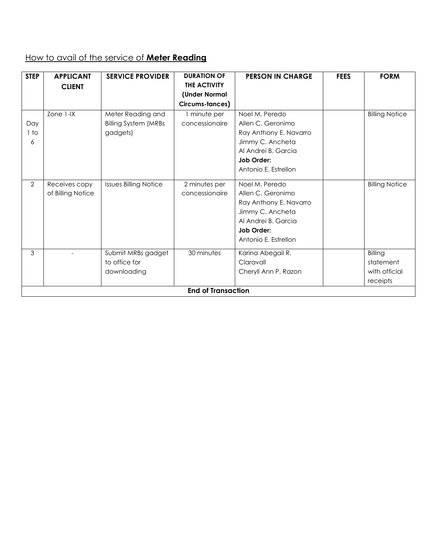#### How to avail of the service of **Meter Reading**

| <b>STEP</b>    | <b>APPLICANT</b>  | <b>SERVICE PROVIDER</b>      | <b>DURATION OF</b>        | <b>PERSON IN CHARGE</b> | <b>FEES</b> | <b>FORM</b>           |
|----------------|-------------------|------------------------------|---------------------------|-------------------------|-------------|-----------------------|
|                | <b>CLIENT</b>     |                              | THE ACTIVITY              |                         |             |                       |
|                |                   |                              | (Under Normal             |                         |             |                       |
|                |                   |                              | Circums-tances)           |                         |             |                       |
|                | Zone 1-IX         | Meter Reading and            | I minute per              | Noel M. Peredo          |             | <b>Billing Notice</b> |
| Day            |                   | <b>Billing System (MRBs</b>  | concessionaire            | Allen C. Geronimo       |             |                       |
| 1 to           |                   | gadgets)                     |                           | Ray Anthony E. Navarro  |             |                       |
| 6              |                   |                              |                           | Jimmy C. Ancheta        |             |                       |
|                |                   |                              |                           | Al Andrei B. Garcia     |             |                       |
|                |                   |                              |                           | Job Order:              |             |                       |
|                |                   |                              |                           | Antonio E. Estrellon    |             |                       |
| $\overline{2}$ | Receives copy     | <b>Issues Billing Notice</b> | 2 minutes per             | Noel M. Peredo          |             | <b>Billing Notice</b> |
|                | of Billing Notice |                              | concessionaire            | Allen C. Geronimo       |             |                       |
|                |                   |                              |                           | Ray Anthony E. Navarro  |             |                       |
|                |                   |                              |                           | Jimmy C. Ancheta        |             |                       |
|                |                   |                              |                           | Al Andrei B. Garcia     |             |                       |
|                |                   |                              |                           | Job Order:              |             |                       |
|                |                   |                              |                           | Antonio E. Estrellon    |             |                       |
| 3              |                   | Submit MRBs gadget           | 30 minutes                | Karina Abegail R.       |             | Billing               |
|                |                   | to office for                |                           | Claravall               |             | statement             |
|                |                   | downloading                  |                           | Cheryll Ann P. Razon    |             | with official         |
|                |                   |                              |                           |                         |             | receipts              |
|                |                   |                              | <b>End of Transaction</b> |                         |             |                       |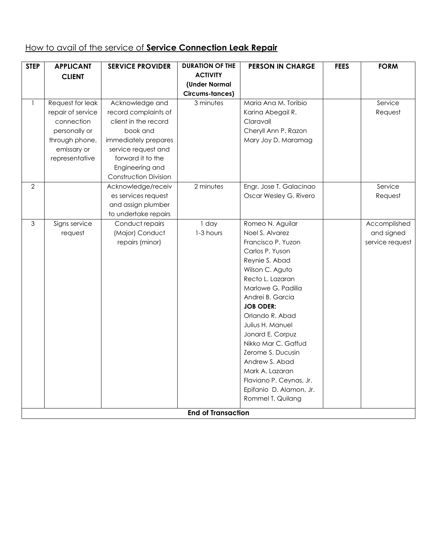## How to avail of the service of **Service Connection Leak Repair**

| <b>STEP</b>    | <b>APPLICANT</b>  | <b>SERVICE PROVIDER</b>      | <b>DURATION OF THE</b>    | <b>PERSON IN CHARGE</b> | <b>FEES</b> | <b>FORM</b>     |
|----------------|-------------------|------------------------------|---------------------------|-------------------------|-------------|-----------------|
|                | <b>CLIENT</b>     |                              | <b>ACTIVITY</b>           |                         |             |                 |
|                |                   |                              | (Under Normal             |                         |             |                 |
|                |                   |                              | Circums-tances)           |                         |             |                 |
| $\mathbf{1}$   | Request for leak  | Acknowledge and              | 3 minutes                 | Maria Ana M. Toribio    |             | Service         |
|                | repair of service | record complaints of         |                           | Karina Abegail R.       |             | Request         |
|                | connection        | client in the record         |                           | Claravall               |             |                 |
|                | personally or     | book and                     |                           | Cheryll Ann P. Razon    |             |                 |
|                | through phone,    | immediately prepares         |                           | Mary Joy D. Maramag     |             |                 |
|                | emissary or       | service request and          |                           |                         |             |                 |
|                | representative    | forward it to the            |                           |                         |             |                 |
|                |                   | Engineering and              |                           |                         |             |                 |
|                |                   | <b>Construction Division</b> |                           |                         |             |                 |
| $\overline{2}$ |                   | Acknowledge/receiv           | 2 minutes                 | Engr. Jose T. Galacinao |             | Service         |
|                |                   | es services request          |                           | Oscar Wesley G. Rivero  |             | Request         |
|                |                   | and assign plumber           |                           |                         |             |                 |
|                |                   | to undertake repairs         |                           |                         |             |                 |
| 3              | Signs service     | Conduct repairs              | $1$ day                   | Romeo N. Aguilar        |             | Accomplished    |
|                | request           | (Major) Conduct              | 1-3 hours                 | Noel S. Alvarez         |             | and signed      |
|                |                   | repairs (minor)              |                           | Francisco P. Yuzon      |             | service request |
|                |                   |                              |                           | Carlos P. Yuson         |             |                 |
|                |                   |                              |                           | Reynie S. Abad          |             |                 |
|                |                   |                              |                           | Wilson C. Aguto         |             |                 |
|                |                   |                              |                           | Recto L. Lazaran        |             |                 |
|                |                   |                              |                           | Marlowe G. Padilla      |             |                 |
|                |                   |                              |                           | Andrei B. Garcia        |             |                 |
|                |                   |                              |                           | <b>JOB ODER:</b>        |             |                 |
|                |                   |                              |                           | Orlando R. Abad         |             |                 |
|                |                   |                              |                           | Julius H. Manuel        |             |                 |
|                |                   |                              |                           | Jonard E. Corpuz        |             |                 |
|                |                   |                              |                           | Nikko Mar C. Gaffud     |             |                 |
|                |                   |                              |                           | Zerome S. Ducusin       |             |                 |
|                |                   |                              |                           | Andrew S. Abad          |             |                 |
|                |                   |                              |                           | Mark A. Lazaran         |             |                 |
|                |                   |                              |                           | Flaviano P. Ceynas, Jr. |             |                 |
|                |                   |                              |                           | Epifanio D. Alamon, Jr. |             |                 |
|                |                   |                              |                           | Rommel T. Quilang       |             |                 |
|                |                   |                              |                           |                         |             |                 |
|                |                   |                              | <b>End of Transaction</b> |                         |             |                 |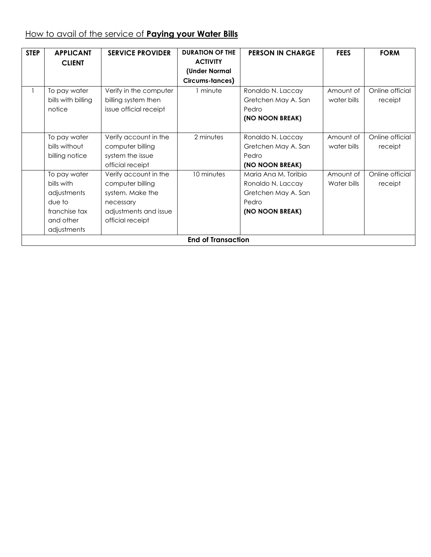# How to avail of the service of **Paying your Water Bills**

| <b>STEP</b> | <b>APPLICANT</b>   | <b>SERVICE PROVIDER</b> | <b>DURATION OF THE</b>    | <b>PERSON IN CHARGE</b> | <b>FEES</b> | <b>FORM</b>     |
|-------------|--------------------|-------------------------|---------------------------|-------------------------|-------------|-----------------|
|             | <b>CLIENT</b>      |                         | <b>ACTIVITY</b>           |                         |             |                 |
|             |                    |                         | (Under Normal             |                         |             |                 |
|             |                    |                         | Circums-tances)           |                         |             |                 |
|             | To pay water       | Verify in the computer  | 1 minute                  | Ronaldo N. Laccay       | Amount of   | Online official |
|             | bills with billing | billing system then     |                           | Gretchen May A. San     | water bills | receipt         |
|             | notice             | issue official receipt  |                           | Pedro                   |             |                 |
|             |                    |                         |                           | (NO NOON BREAK)         |             |                 |
|             | To pay water       | Verify account in the   | 2 minutes                 | Ronaldo N. Laccay       | Amount of   | Online official |
|             | bills without      | computer billing        |                           | Gretchen May A. San     | water bills | receipt         |
|             | billing notice     | system the issue        |                           | Pedro                   |             |                 |
|             |                    | official receipt        |                           | (NO NOON BREAK)         |             |                 |
|             | To pay water       | Verify account in the   | 10 minutes                | Maria Ana M. Toribio    | Amount of   | Online official |
|             | bills with         | computer billing        |                           | Ronaldo N. Laccay       | Water bills | receipt         |
|             | adjustments        | system. Make the        |                           | Gretchen May A. San     |             |                 |
|             | due to             | necessary               |                           | Pedro                   |             |                 |
|             | franchise tax      | adjustments and issue   |                           | (NO NOON BREAK)         |             |                 |
|             | and other          | official receipt        |                           |                         |             |                 |
|             | adjustments        |                         |                           |                         |             |                 |
|             |                    |                         | <b>End of Transaction</b> |                         |             |                 |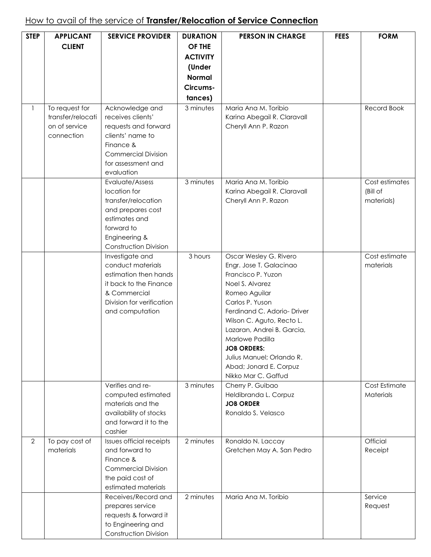## How to avail of the service of **Transfer/Relocation of Service Connection**

| <b>STEP</b>    | <b>APPLICANT</b><br><b>CLIENT</b>                                  | <b>SERVICE PROVIDER</b>                                                                                                                                         | <b>DURATION</b><br>OF THE<br><b>ACTIVITY</b><br>(Under<br><b>Normal</b><br>Circums-<br>tances) | <b>PERSON IN CHARGE</b>                                                                                                                                                                                                                                                                                                                         | <b>FEES</b> | <b>FORM</b>                              |
|----------------|--------------------------------------------------------------------|-----------------------------------------------------------------------------------------------------------------------------------------------------------------|------------------------------------------------------------------------------------------------|-------------------------------------------------------------------------------------------------------------------------------------------------------------------------------------------------------------------------------------------------------------------------------------------------------------------------------------------------|-------------|------------------------------------------|
|                | To request for<br>transfer/relocati<br>on of service<br>connection | Acknowledge and<br>receives clients'<br>requests and forward<br>clients' name to<br>Finance &<br><b>Commercial Division</b><br>for assessment and<br>evaluation | $\overline{3}$ minutes                                                                         | Maria Ana M. Toribio<br>Karina Abegail R. Claravall<br>Cheryll Ann P. Razon                                                                                                                                                                                                                                                                     |             | Record Book                              |
|                |                                                                    | Evaluate/Assess<br>location for<br>transfer/relocation<br>and prepares cost<br>estimates and<br>forward to<br>Engineering &<br>Construction Division            | 3 minutes                                                                                      | Maria Ana M. Toribio<br>Karina Abegail R. Claravall<br>Cheryll Ann P. Razon                                                                                                                                                                                                                                                                     |             | Cost estimates<br>(Bill of<br>materials) |
|                |                                                                    | Investigate and<br>conduct materials<br>estimation then hands<br>it back to the Finance<br>& Commercial<br>Division for verification<br>and computation         | 3 hours                                                                                        | Oscar Wesley G. Rivero<br>Engr. Jose T. Galacinao<br>Francisco P. Yuzon<br>Noel S. Alvarez<br>Romeo Aguilar<br>Carlos P. Yuson<br>Ferdinand C. Adorio- Driver<br>Wilson C. Aguto, Recto L.<br>Lazaran, Andrei B. Garcia,<br>Marlowe Padilla<br><b>JOB ORDERS:</b><br>Julius Manuel; Orlando R.<br>Abad; Jonard E. Corpuz<br>Nikko Mar C. Gaffud |             | Cost estimate<br>materials               |
|                |                                                                    | Verifies and re-<br>computed estimated<br>materials and the<br>availability of stocks<br>and forward it to the<br>cashier                                       | 3 minutes                                                                                      | Cherry P. Guibao<br>Heldibranda L. Corpuz<br><b>JOB ORDER</b><br>Ronaldo S. Velasco                                                                                                                                                                                                                                                             |             | Cost Estimate<br>Materials               |
| $\overline{2}$ | To pay cost of<br>materials                                        | Issues official receipts<br>and forward to<br>Finance &<br><b>Commercial Division</b><br>the paid cost of<br>estimated materials                                | 2 minutes                                                                                      | Ronaldo N. Laccay<br>Gretchen May A. San Pedro                                                                                                                                                                                                                                                                                                  |             | <b>Official</b><br>Receipt               |
|                |                                                                    | Receives/Record and<br>prepares service<br>requests & forward it<br>to Engineering and<br><b>Construction Division</b>                                          | 2 minutes                                                                                      | Maria Ana M. Toribio                                                                                                                                                                                                                                                                                                                            |             | Service<br>Request                       |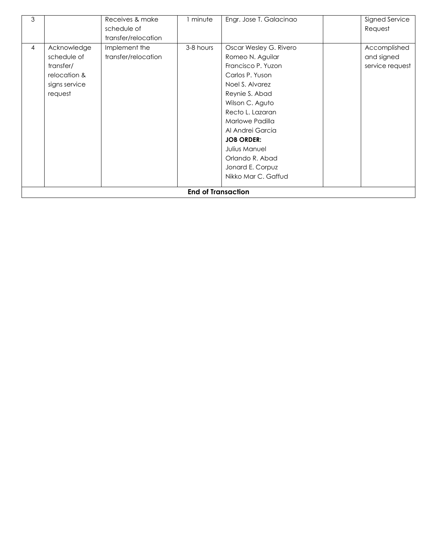| 3              |               | Receives & make     | minute                    | Engr. Jose T. Galacinao | Signed Service  |
|----------------|---------------|---------------------|---------------------------|-------------------------|-----------------|
|                |               | schedule of         |                           |                         | Request         |
|                |               | transfer/relocation |                           |                         |                 |
| $\overline{4}$ | Acknowledge   | Implement the       | 3-8 hours                 | Oscar Wesley G. Rivero  | Accomplished    |
|                | schedule of   | transfer/relocation |                           | Romeo N. Aguilar        | and signed      |
|                | transfer/     |                     |                           | Francisco P. Yuzon      | service request |
|                | relocation &  |                     |                           | Carlos P. Yuson         |                 |
|                | signs service |                     |                           | Noel S. Alvarez         |                 |
|                | request       |                     |                           | Reynie S. Abad          |                 |
|                |               |                     |                           | Wilson C. Aguto         |                 |
|                |               |                     |                           | Recto L. Lazaran        |                 |
|                |               |                     |                           | Marlowe Padilla         |                 |
|                |               |                     |                           | Al Andrei Garcia        |                 |
|                |               |                     |                           | <b>JOB ORDER:</b>       |                 |
|                |               |                     |                           | Julius Manuel           |                 |
|                |               |                     |                           | Orlando R. Abad         |                 |
|                |               |                     |                           | Jonard E. Corpuz        |                 |
|                |               |                     |                           | Nikko Mar C. Gaffud     |                 |
|                |               |                     |                           |                         |                 |
|                |               |                     | <b>End of Transaction</b> |                         |                 |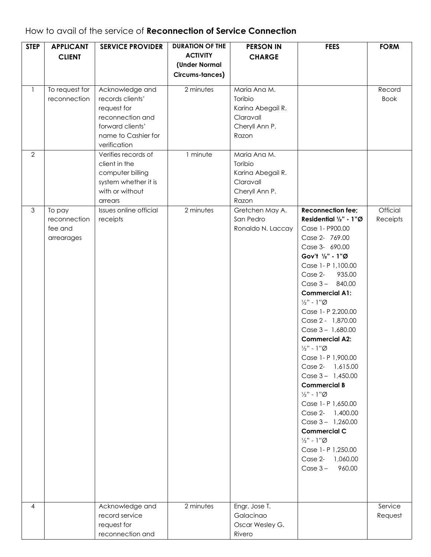### How to avail of the service of **Reconnection of Service Connection**

| <b>STEP</b>    | <b>APPLICANT</b><br><b>CLIENT</b>               | <b>SERVICE PROVIDER</b>                                                                                                           | <b>DURATION OF THE</b><br><b>ACTIVITY</b><br>(Under Normal<br>Circums-tances) | <b>PERSON IN</b><br><b>CHARGE</b>                                                    | <b>FEES</b>                                                                                                                                                                                                                                                                                                                                                                                                                                                                                                                                                                                                                                                                                                               | <b>FORM</b>           |
|----------------|-------------------------------------------------|-----------------------------------------------------------------------------------------------------------------------------------|-------------------------------------------------------------------------------|--------------------------------------------------------------------------------------|---------------------------------------------------------------------------------------------------------------------------------------------------------------------------------------------------------------------------------------------------------------------------------------------------------------------------------------------------------------------------------------------------------------------------------------------------------------------------------------------------------------------------------------------------------------------------------------------------------------------------------------------------------------------------------------------------------------------------|-----------------------|
| $\mathbf{1}$   | To request for<br>reconnection                  | Acknowledge and<br>records clients'<br>request for<br>reconnection and<br>forward clients'<br>name to Cashier for<br>verification | 2 minutes                                                                     | Maria Ana M.<br>Toribio<br>Karina Abegail R.<br>Claravall<br>Cheryll Ann P.<br>Razon |                                                                                                                                                                                                                                                                                                                                                                                                                                                                                                                                                                                                                                                                                                                           | Record<br><b>Book</b> |
| $\overline{2}$ |                                                 | Verifies records of<br>client in the<br>computer billing<br>system whether it is<br>with or without<br>arrears                    | 1 minute                                                                      | Maria Ana M.<br>Toribio<br>Karina Abegail R.<br>Claravall<br>Cheryll Ann P.<br>Razon |                                                                                                                                                                                                                                                                                                                                                                                                                                                                                                                                                                                                                                                                                                                           |                       |
| $\mathfrak{S}$ | To pay<br>reconnection<br>fee and<br>arrearages | Issues online official<br>receipts                                                                                                | 2 minutes                                                                     | Gretchen May A.<br>San Pedro<br>Ronaldo N. Laccay                                    | <b>Reconnection fee;</b><br>Residential 1/2" - 1"Ø<br>Case 1- P900.00<br>Case 2- 769.00<br>Case 3- 690.00<br>Gov't 1/2" - 1"Ø<br>Case 1- P 1,100.00<br>Case 2-<br>935.00<br>Case $3 - 840.00$<br><b>Commercial A1:</b><br>$\frac{1}{2}$ " - $1$ " $\emptyset$<br>Case 1- P 2,200.00<br>Case 2 - 1,870.00<br>Case $3 - 1,680.00$<br><b>Commercial A2:</b><br>$\frac{1}{2}$ " - 1" $\emptyset$<br>Case 1- P 1,900.00<br>Case 2- 1,615.00<br>Case $3 - 1,450.00$<br><b>Commercial B</b><br>$\frac{1}{2}$ " - 1" $\emptyset$<br>Case 1- P 1,650.00<br>Case 2- 1,400.00<br>Case $3 - 1,260.00$<br><b>Commercial C</b><br>$\frac{1}{2}$ " - $1$ " $\emptyset$<br>Case 1- P 1,250.00<br>Case 2- 1,060.00<br>$Case 3 -$<br>960.00 | Official<br>Receipts  |
| $\overline{4}$ |                                                 | Acknowledge and<br>record service<br>request for<br>reconnection and                                                              | 2 minutes                                                                     | Engr. Jose T.<br>Galacinao<br>Oscar Wesley G.<br>Rivero                              |                                                                                                                                                                                                                                                                                                                                                                                                                                                                                                                                                                                                                                                                                                                           | Service<br>Request    |